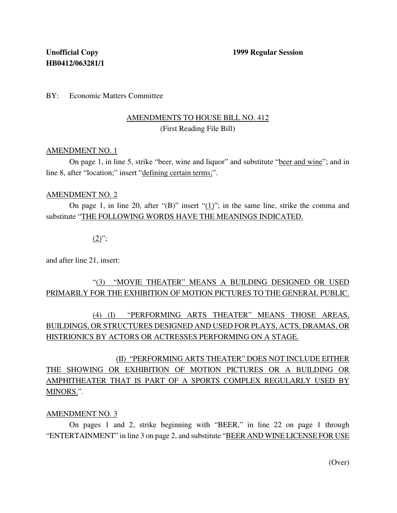BY: Economic Matters Committee

## AMENDMENTS TO HOUSE BILL NO. 412 (First Reading File Bill)

#### AMENDMENT NO. 1

On page 1, in line 5, strike "beer, wine and liquor" and substitute "beer and wine"; and in line 8, after "location;" insert "defining certain terms;".

#### AMENDMENT NO. 2

On page 1, in line 20, after "(B)" insert "(1)"; in the same line, strike the comma and substitute "THE FOLLOWING WORDS HAVE THE MEANINGS INDICATED.

### $(2)$ ";

and after line 21, insert:

## "(3) "MOVIE THEATER" MEANS A BUILDING DESIGNED OR USED PRIMARILY FOR THE EXHIBITION OF MOTION PICTURES TO THE GENERAL PUBLIC.

# (4) (I) "PERFORMING ARTS THEATER" MEANS THOSE AREAS, BUILDINGS, OR STRUCTURES DESIGNED AND USED FOR PLAYS, ACTS, DRAMAS, OR HISTRIONICS BY ACTORS OR ACTRESSES PERFORMING ON A STAGE.

(II) "PERFORMING ARTS THEATER" DOES NOT INCLUDE EITHER THE SHOWING OR EXHIBITION OF MOTION PICTURES OR A BUILDING OR AMPHITHEATER THAT IS PART OF A SPORTS COMPLEX REGULARLY USED BY MINORS.".

#### AMENDMENT NO. 3

On pages 1 and 2, strike beginning with "BEER," in line 22 on page 1 through "ENTERTAINMENT" in line 3 on page 2, and substitute "BEER AND WINE LICENSE FOR USE

(Over)